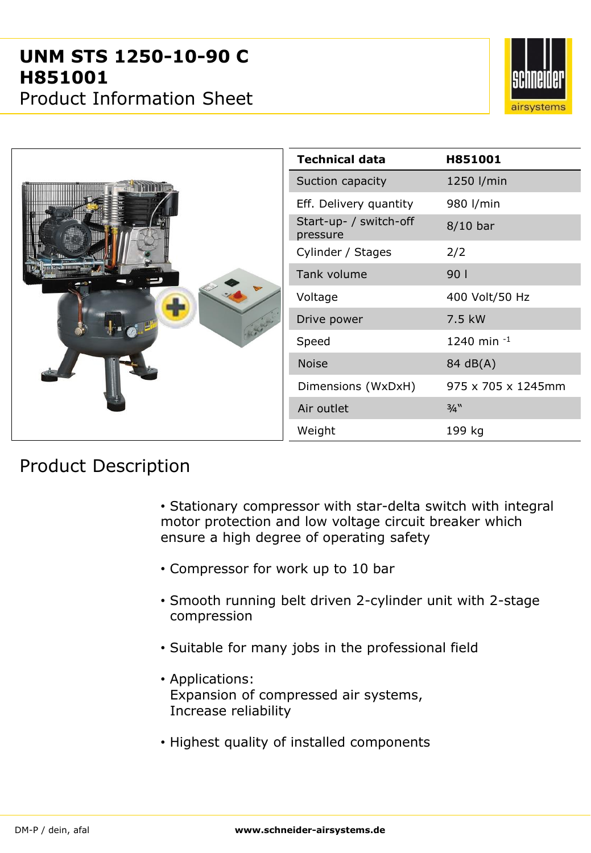

|  | <b>Technical data</b>              | H851001            |
|--|------------------------------------|--------------------|
|  | Suction capacity                   | 1250 l/min         |
|  | Eff. Delivery quantity             | 980 l/min          |
|  | Start-up- / switch-off<br>pressure | $8/10$ bar         |
|  | Cylinder / Stages                  | 2/2                |
|  | Tank volume                        | 901                |
|  | Voltage                            | 400 Volt/50 Hz     |
|  | Drive power                        | 7.5 kW             |
|  | Speed                              | 1240 min -1        |
|  | <b>Noise</b>                       | 84 dB(A)           |
|  | Dimensions (WxDxH)                 | 975 x 705 x 1245mm |
|  | Air outlet                         | 3/4"               |
|  | Weight                             | 199 kg             |

## Product Description

- Stationary compressor with star-delta switch with integral motor protection and low voltage circuit breaker which ensure a high degree of operating safety
- Compressor for work up to 10 bar
- Smooth running belt driven 2-cylinder unit with 2-stage compression
- Suitable for many jobs in the professional field
- Applications: Expansion of compressed air systems, Increase reliability
- Highest quality of installed components